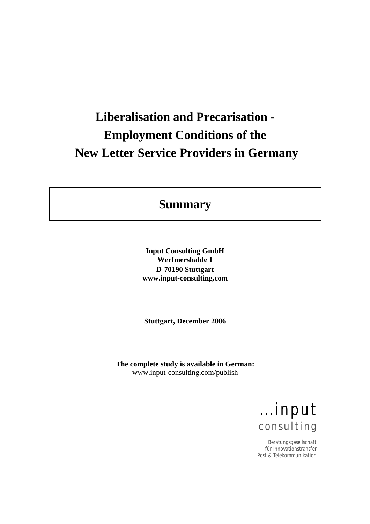# **Liberalisation and Precarisation - Employment Conditions of the New Letter Service Providers in Germany**

# **Summary**

**Input Consulting GmbH Werfmershalde 1 D-70190 Stuttgart www.input-consulting.com** 

**Stuttgart, December 2006** 

**The complete study is available in German:**  www.input-consulting.com/publish

> ...input consulting

Beratungsgesellschaft für Innovationstransfer Post & Telekommunikation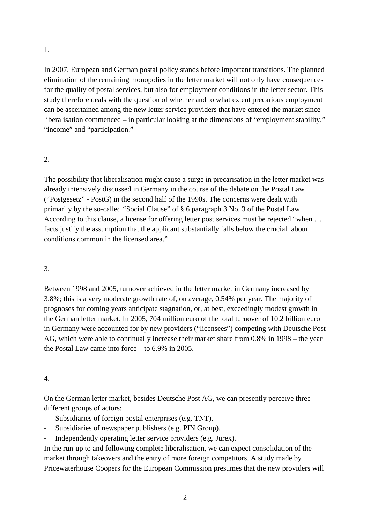1.

In 2007, European and German postal policy stands before important transitions. The planned elimination of the remaining monopolies in the letter market will not only have consequences for the quality of postal services, but also for employment conditions in the letter sector. This study therefore deals with the question of whether and to what extent precarious employment can be ascertained among the new letter service providers that have entered the market since liberalisation commenced – in particular looking at the dimensions of "employment stability," "income" and "participation."

# 2.

The possibility that liberalisation might cause a surge in precarisation in the letter market was already intensively discussed in Germany in the course of the debate on the Postal Law ("Postgesetz" - PostG) in the second half of the 1990s. The concerns were dealt with primarily by the so-called "Social Clause" of § 6 paragraph 3 No. 3 of the Postal Law. According to this clause, a license for offering letter post services must be rejected "when … facts justify the assumption that the applicant substantially falls below the crucial labour conditions common in the licensed area."

# 3.

Between 1998 and 2005, turnover achieved in the letter market in Germany increased by 3.8%; this is a very moderate growth rate of, on average, 0.54% per year. The majority of prognoses for coming years anticipate stagnation, or, at best, exceedingly modest growth in the German letter market. In 2005, 704 million euro of the total turnover of 10.2 billion euro in Germany were accounted for by new providers ("licensees") competing with Deutsche Post AG, which were able to continually increase their market share from 0.8% in 1998 – the year the Postal Law came into force – to 6.9% in 2005.

# 4.

On the German letter market, besides Deutsche Post AG, we can presently perceive three different groups of actors:

- Subsidiaries of foreign postal enterprises (e.g. TNT),
- Subsidiaries of newspaper publishers (e.g. PIN Group),
- Independently operating letter service providers (e.g. Jurex).

In the run-up to and following complete liberalisation, we can expect consolidation of the market through takeovers and the entry of more foreign competitors. A study made by Pricewaterhouse Coopers for the European Commission presumes that the new providers will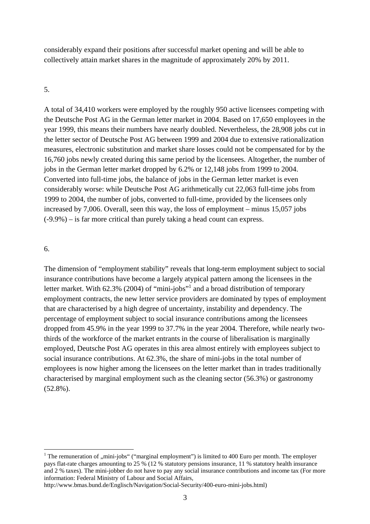considerably expand their positions after successful market opening and will be able to collectively attain market shares in the magnitude of approximately 20% by 2011.

#### 5.

A total of 34,410 workers were employed by the roughly 950 active licensees competing with the Deutsche Post AG in the German letter market in 2004. Based on 17,650 employees in the year 1999, this means their numbers have nearly doubled. Nevertheless, the 28,908 jobs cut in the letter sector of Deutsche Post AG between 1999 and 2004 due to extensive rationalization measures, electronic substitution and market share losses could not be compensated for by the 16,760 jobs newly created during this same period by the licensees. Altogether, the number of jobs in the German letter market dropped by 6.2% or 12,148 jobs from 1999 to 2004. Converted into full-time jobs, the balance of jobs in the German letter market is even considerably worse: while Deutsche Post AG arithmetically cut 22,063 full-time jobs from 1999 to 2004, the number of jobs, converted to full-time, provided by the licensees only increased by 7,006. Overall, seen this way, the loss of employment – minus 15,057 jobs  $(-9.9\%)$  – is far more critical than purely taking a head count can express.

#### 6.

1

The dimension of "employment stability" reveals that long-term employment subject to social insurance contributions have become a largely atypical pattern among the licensees in the letter market. With 62.3% (2004) of "mini-jobs"<sup>1</sup> and a broad distribution of temporary employment contracts, the new letter service providers are dominated by types of employment that are characterised by a high degree of uncertainty, instability and dependency. The percentage of employment subject to social insurance contributions among the licensees dropped from 45.9% in the year 1999 to 37.7% in the year 2004. Therefore, while nearly twothirds of the workforce of the market entrants in the course of liberalisation is marginally employed, Deutsche Post AG operates in this area almost entirely with employees subject to social insurance contributions. At 62.3%, the share of mini-jobs in the total number of employees is now higher among the licensees on the letter market than in trades traditionally characterised by marginal employment such as the cleaning sector (56.3%) or gastronomy (52.8%).

<sup>&</sup>lt;sup>1</sup> The remuneration of ,,mini-jobs" ("marginal employment") is limited to 400 Euro per month. The employer pays flat-rate charges amounting to 25 % (12 % statutory pensions insurance, 11 % statutory health insurance and 2 % taxes). The mini-jobber do not have to pay any social insurance contributions and income tax (For more information: Federal Ministry of Labour and Social Affairs,

http://www.bmas.bund.de/Englisch/Navigation/Social-Security/400-euro-mini-jobs.html)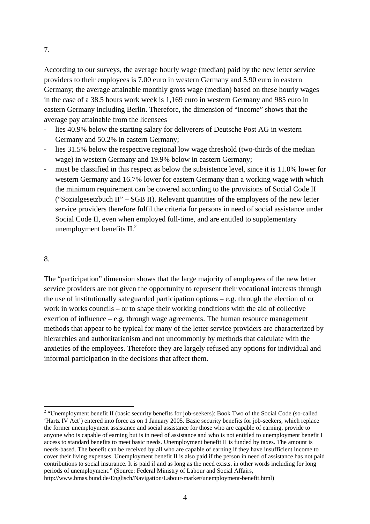According to our surveys, the average hourly wage (median) paid by the new letter service providers to their employees is 7.00 euro in western Germany and 5.90 euro in eastern Germany; the average attainable monthly gross wage (median) based on these hourly wages in the case of a 38.5 hours work week is 1,169 euro in western Germany and 985 euro in eastern Germany including Berlin. Therefore, the dimension of "income" shows that the average pay attainable from the licensees

- lies 40.9% below the starting salary for deliverers of Deutsche Post AG in western Germany and 50.2% in eastern Germany;
- lies 31.5% below the respective regional low wage threshold (two-thirds of the median wage) in western Germany and 19.9% below in eastern Germany;
- must be classified in this respect as below the subsistence level, since it is 11.0% lower for western Germany and 16.7% lower for eastern Germany than a working wage with which the minimum requirement can be covered according to the provisions of Social Code II ("Sozialgesetzbuch II" – SGB II). Relevant quantities of the employees of the new letter service providers therefore fulfil the criteria for persons in need of social assistance under Social Code II, even when employed full-time, and are entitled to supplementary unemployment benefits  $II<sup>2</sup>$

#### 8.

<u>.</u>

The "participation" dimension shows that the large majority of employees of the new letter service providers are not given the opportunity to represent their vocational interests through the use of institutionally safeguarded participation options – e.g. through the election of or work in works councils – or to shape their working conditions with the aid of collective exertion of influence – e.g. through wage agreements. The human resource management methods that appear to be typical for many of the letter service providers are characterized by hierarchies and authoritarianism and not uncommonly by methods that calculate with the anxieties of the employees. Therefore they are largely refused any options for individual and informal participation in the decisions that affect them.

<sup>&</sup>lt;sup>2</sup> "Unemployment benefit II (basic security benefits for job-seekers): Book Two of the Social Code (so-called 'Hartz IV Act') entered into force as on 1 January 2005. Basic security benefits for job-seekers, which replace the former unemployment assistance and social assistance for those who are capable of earning, provide to anyone who is capable of earning but is in need of assistance and who is not entitled to unemployment benefit I access to standard benefits to meet basic needs. Unemployment benefit II is funded by taxes. The amount is needs-based. The benefit can be received by all who are capable of earning if they have insufficient income to cover their living expenses. Unemployment benefit II is also paid if the person in need of assistance has not paid contributions to social insurance. It is paid if and as long as the need exists, in other words including for long periods of unemployment." (Source: Federal Ministry of Labour and Social Affairs, http://www.bmas.bund.de/Englisch/Navigation/Labour-market/unemployment-benefit.html)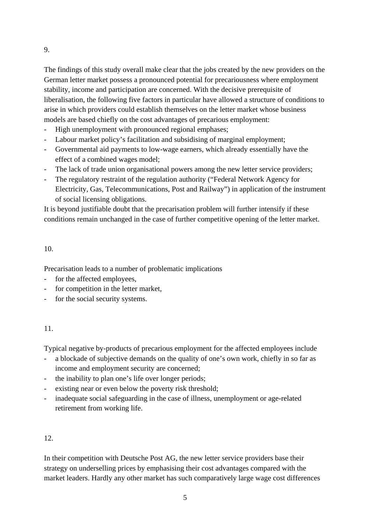The findings of this study overall make clear that the jobs created by the new providers on the German letter market possess a pronounced potential for precariousness where employment stability, income and participation are concerned. With the decisive prerequisite of liberalisation, the following five factors in particular have allowed a structure of conditions to arise in which providers could establish themselves on the letter market whose business models are based chiefly on the cost advantages of precarious employment:

- High unemployment with pronounced regional emphases;
- Labour market policy's facilitation and subsidising of marginal employment;
- Governmental aid payments to low-wage earners, which already essentially have the effect of a combined wages model;
- The lack of trade union organisational powers among the new letter service providers;
- The regulatory restraint of the regulation authority ("Federal Network Agency for Electricity, Gas, Telecommunications, Post and Railway") in application of the instrument of social licensing obligations.

It is beyond justifiable doubt that the precarisation problem will further intensify if these conditions remain unchanged in the case of further competitive opening of the letter market.

# 10.

Precarisation leads to a number of problematic implications

- for the affected employees,
- for competition in the letter market,
- for the social security systems.

# 11.

Typical negative by-products of precarious employment for the affected employees include

- a blockade of subjective demands on the quality of one's own work, chiefly in so far as income and employment security are concerned;
- the inability to plan one's life over longer periods:
- existing near or even below the poverty risk threshold;
- inadequate social safeguarding in the case of illness, unemployment or age-related retirement from working life.

# 12.

In their competition with Deutsche Post AG, the new letter service providers base their strategy on underselling prices by emphasising their cost advantages compared with the market leaders. Hardly any other market has such comparatively large wage cost differences